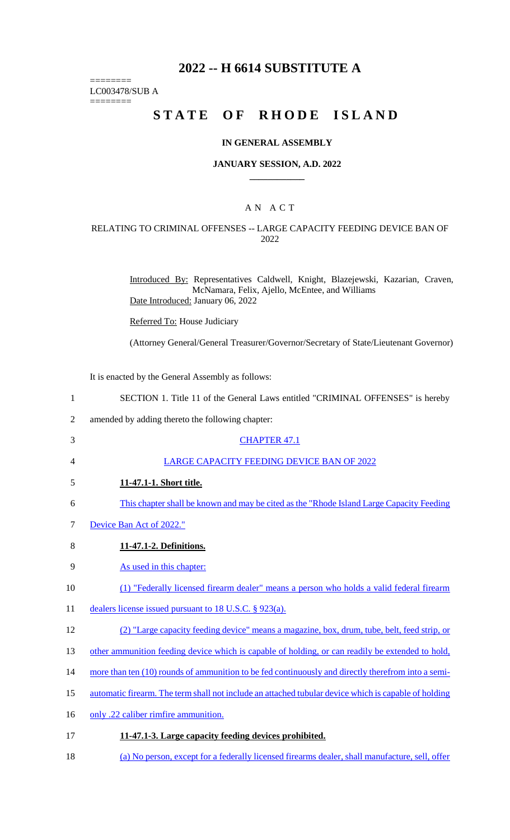# **2022 -- H 6614 SUBSTITUTE A**

LC003478/SUB A

========

========

# **STATE OF RHODE ISLAND**

#### **IN GENERAL ASSEMBLY**

#### **JANUARY SESSION, A.D. 2022 \_\_\_\_\_\_\_\_\_\_\_\_**

## A N A C T

#### RELATING TO CRIMINAL OFFENSES -- LARGE CAPACITY FEEDING DEVICE BAN OF 2022

Introduced By: Representatives Caldwell, Knight, Blazejewski, Kazarian, Craven, McNamara, Felix, Ajello, McEntee, and Williams Date Introduced: January 06, 2022

Referred To: House Judiciary

(Attorney General/General Treasurer/Governor/Secretary of State/Lieutenant Governor)

It is enacted by the General Assembly as follows:

| $\mathbf{1}$   | SECTION 1. Title 11 of the General Laws entitled "CRIMINAL OFFENSES" is hereby                       |
|----------------|------------------------------------------------------------------------------------------------------|
| $\overline{2}$ | amended by adding thereto the following chapter:                                                     |
| 3              | <b>CHAPTER 47.1</b>                                                                                  |
| 4              | LARGE CAPACITY FEEDING DEVICE BAN OF 2022                                                            |
| 5              | 11-47.1-1. Short title.                                                                              |
| 6              | This chapter shall be known and may be cited as the "Rhode Island Large Capacity Feeding"            |
| 7              | Device Ban Act of 2022."                                                                             |
| 8              | 11-47.1-2. Definitions.                                                                              |
| 9              | As used in this chapter:                                                                             |
| 10             | (1) "Federally licensed firearm dealer" means a person who holds a valid federal firearm             |
| 11             | dealers license issued pursuant to 18 U.S.C. $\S$ 923(a).                                            |
| 12             | (2) "Large capacity feeding device" means a magazine, box, drum, tube, belt, feed strip, or          |
| 13             | other ammunition feeding device which is capable of holding, or can readily be extended to hold,     |
| 14             | more than ten (10) rounds of ammunition to be fed continuously and directly therefrom into a semi-   |
| 15             | automatic firearm. The term shall not include an attached tubular device which is capable of holding |
| 16             | only .22 caliber rimfire ammunition.                                                                 |
| 17             | 11-47.1-3. Large capacity feeding devices prohibited.                                                |
|                |                                                                                                      |

18 (a) No person, except for a federally licensed firearms dealer, shall manufacture, sell, offer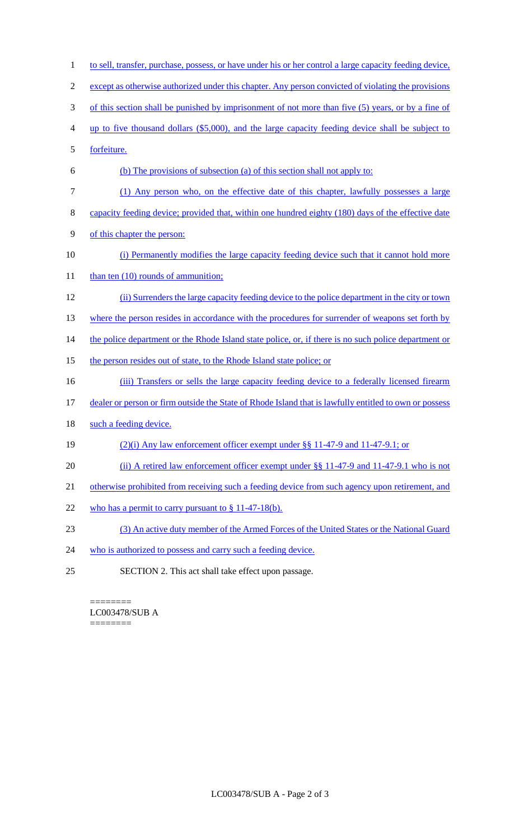- 1 to sell, transfer, purchase, possess, or have under his or her control a large capacity feeding device, 2 except as otherwise authorized under this chapter. Any person convicted of violating the provisions 3 of this section shall be punished by imprisonment of not more than five (5) years, or by a fine of 4 up to five thousand dollars (\$5,000), and the large capacity feeding device shall be subject to 5 forfeiture. 6 (b) The provisions of subsection (a) of this section shall not apply to: 7 (1) Any person who, on the effective date of this chapter, lawfully possesses a large 8 capacity feeding device; provided that, within one hundred eighty (180) days of the effective date 9 of this chapter the person: 10 (i) Permanently modifies the large capacity feeding device such that it cannot hold more 11 than ten (10) rounds of ammunition; 12 (ii) Surrenders the large capacity feeding device to the police department in the city or town 13 where the person resides in accordance with the procedures for surrender of weapons set forth by 14 the police department or the Rhode Island state police, or, if there is no such police department or 15 the person resides out of state, to the Rhode Island state police; or 16 (iii) Transfers or sells the large capacity feeding device to a federally licensed firearm 17 dealer or person or firm outside the State of Rhode Island that is lawfully entitled to own or possess 18 such a feeding device. 19 (2)(i) Any law enforcement officer exempt under §§ 11-47-9 and 11-47-9.1; or 20 (ii) A retired law enforcement officer exempt under §§ 11-47-9 and 11-47-9.1 who is not 21 otherwise prohibited from receiving such a feeding device from such agency upon retirement, and 22 who has a permit to carry pursuant to  $\S 11-47-18(b)$ . 23 (3) An active duty member of the Armed Forces of the United States or the National Guard 24 who is authorized to possess and carry such a feeding device.
- 25 SECTION 2. This act shall take effect upon passage.

======== LC003478/SUB A ========